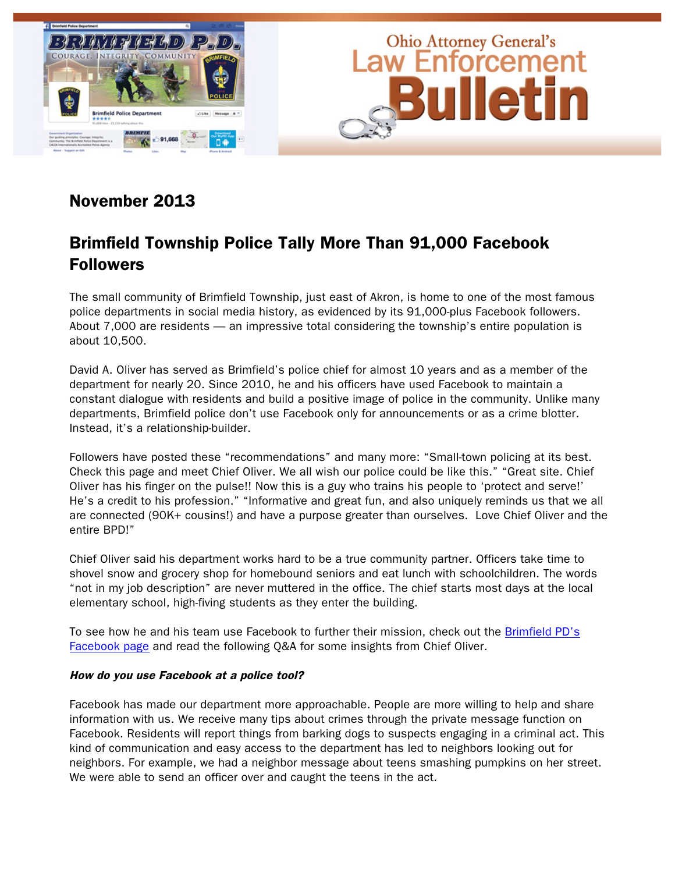

# November 2013

## Brimfield Township Police Tally More Than 91,000 Facebook **Followers**

The small community of Brimfield Township, just east of Akron, is home to one of the most famous police departments in social media history, as evidenced by its 91,000-plus Facebook followers. About 7,000 are residents — an impressive total considering the township's entire population is about 10,500.

David A. Oliver has served as Brimfield's police chief for almost 10 years and as a member of the department for nearly 20. Since 2010, he and his officers have used Facebook to maintain a constant dialogue with residents and build a positive image of police in the community. Unlike many departments, Brimfield police don't use Facebook only for announcements or as a crime blotter. Instead, it's a relationship-builder.

Followers have posted these "recommendations" and many more: "Small-town policing at its best. Check this page and meet Chief Oliver. We all wish our police could be like this." "Great site. Chief Oliver has his finger on the pulse!! Now this is a guy who trains his people to 'protect and serve!' He's a credit to his profession." "Informative and great fun, and also uniquely reminds us that we all are connected (90K+ cousins!) and have a purpose greater than ourselves. Love Chief Oliver and the entire BPD!"

Chief Oliver said his department works hard to be a true community partner. Officers take time to shovel snow and grocery shop for homebound seniors and eat lunch with schoolchildren. The words "not in my job description" are never muttered in the office. The chief starts most days at the local elementary school, high-fiving students as they enter the building.

To see how he and his team use Facebook to further their mission, check out the Brimfield PD's [Facebook page](http://facebook.com/BrimfieldPolice) and read the following Q&A for some insights from Chief Oliver.

#### How do you use Facebook at a police tool?

Facebook has made our department more approachable. People are more willing to help and share information with us. We receive many tips about crimes through the private message function on Facebook. Residents will report things from barking dogs to suspects engaging in a criminal act. This kind of communication and easy access to the department has led to neighbors looking out for neighbors. For example, we had a neighbor message about teens smashing pumpkins on her street. We were able to send an officer over and caught the teens in the act.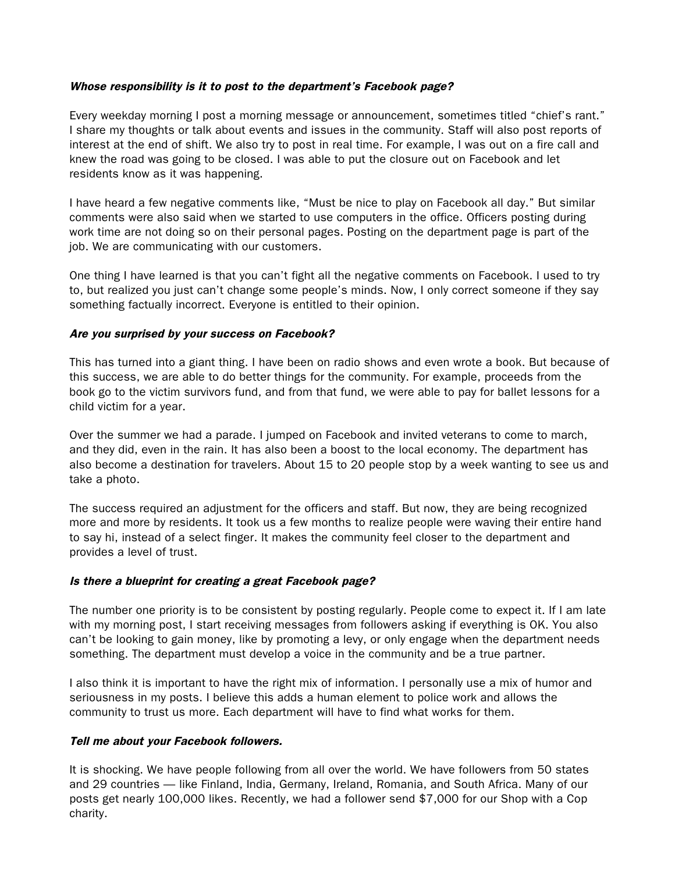#### Whose responsibility is it to post to the department's Facebook page?

Every weekday morning I post a morning message or announcement, sometimes titled "chief's rant." I share my thoughts or talk about events and issues in the community. Staff will also post reports of interest at the end of shift. We also try to post in real time. For example, I was out on a fire call and knew the road was going to be closed. I was able to put the closure out on Facebook and let residents know as it was happening.

I have heard a few negative comments like, "Must be nice to play on Facebook all day." But similar comments were also said when we started to use computers in the office. Officers posting during work time are not doing so on their personal pages. Posting on the department page is part of the job. We are communicating with our customers.

One thing I have learned is that you can't fight all the negative comments on Facebook. I used to try to, but realized you just can't change some people's minds. Now, I only correct someone if they say something factually incorrect. Everyone is entitled to their opinion.

### Are you surprised by your success on Facebook?

This has turned into a giant thing. I have been on radio shows and even wrote a book. But because of this success, we are able to do better things for the community. For example, proceeds from the book go to the victim survivors fund, and from that fund, we were able to pay for ballet lessons for a child victim for a year.

Over the summer we had a parade. I jumped on Facebook and invited veterans to come to march, and they did, even in the rain. It has also been a boost to the local economy. The department has also become a destination for travelers. About 15 to 20 people stop by a week wanting to see us and take a photo.

The success required an adjustment for the officers and staff. But now, they are being recognized more and more by residents. It took us a few months to realize people were waving their entire hand to say hi, instead of a select finger. It makes the community feel closer to the department and provides a level of trust.

## Is there a blueprint for creating a great Facebook page?

The number one priority is to be consistent by posting regularly. People come to expect it. If I am late with my morning post, I start receiving messages from followers asking if everything is OK. You also can't be looking to gain money, like by promoting a levy, or only engage when the department needs something. The department must develop a voice in the community and be a true partner.

I also think it is important to have the right mix of information. I personally use a mix of humor and seriousness in my posts. I believe this adds a human element to police work and allows the community to trust us more. Each department will have to find what works for them.

#### Tell me about your Facebook followers.

It is shocking. We have people following from all over the world. We have followers from 50 states and 29 countries — like Finland, India, Germany, Ireland, Romania, and South Africa. Many of our posts get nearly 100,000 likes. Recently, we had a follower send \$7,000 for our Shop with a Cop charity.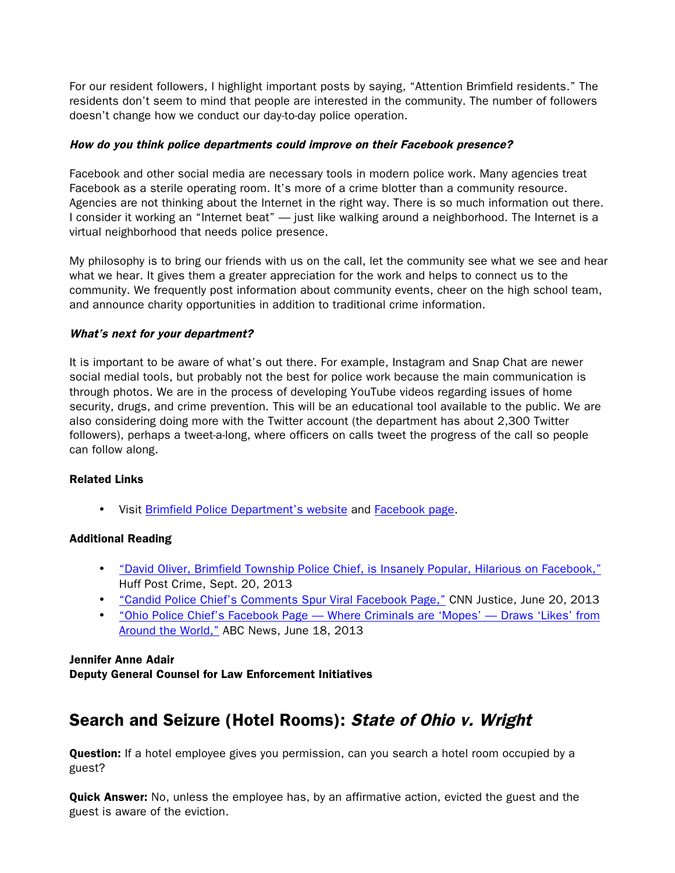For our resident followers, I highlight important posts by saying, "Attention Brimfield residents." The residents don't seem to mind that people are interested in the community. The number of followers doesn't change how we conduct our day-to-day police operation.

### How do you think police departments could improve on their Facebook presence?

Facebook and other social media are necessary tools in modern police work. Many agencies treat Facebook as a sterile operating room. It's more of a crime blotter than a community resource. Agencies are not thinking about the Internet in the right way. There is so much information out there. I consider it working an "Internet beat" — just like walking around a neighborhood. The Internet is a virtual neighborhood that needs police presence.

My philosophy is to bring our friends with us on the call, let the community see what we see and hear what we hear. It gives them a greater appreciation for the work and helps to connect us to the community. We frequently post information about community events, cheer on the high school team, and announce charity opportunities in addition to traditional crime information.

### What's next for your department?

It is important to be aware of what's out there. For example, Instagram and Snap Chat are newer social medial tools, but probably not the best for police work because the main communication is through photos. We are in the process of developing YouTube videos regarding issues of home security, drugs, and crime prevention. This will be an educational tool available to the public. We are also considering doing more with the Twitter account (the department has about 2,300 Twitter followers), perhaps a tweet-a-long, where officers on calls tweet the progress of the call so people can follow along.

#### Related Links

• Visit [Brimfield Police Department's website](http://brimfieldpolice.com/) and [Facebook page.](http://facebook.com/BrimfieldPolice) 

## Additional Reading

- ["David Oliver, Brimfield Township Police Chief, is Insanely Popular, Hilarious on Facebook,"](http://www.huffingtonpost.com/2013/09/21/david-oliver-brimfield-police-chief-facebook_n_3967036.html) Huff Post Crime, Sept. 20, 2013
- ["Candid Police Chief's Comments Spur Viral Facebook Page,"](http://www.cnn.com/2013/06/20/justice/brimfield-police-facebook/) CNN Justice, June 20, 2013
- ["Ohio Police Chief's Facebook Page —](http://abcnews.go.com/US/ohio-police-chiefs-facebook-page-global-reach/story?id=19422569) Where Criminals are 'Mopes' Draws 'Likes' from [Around the World,"](http://abcnews.go.com/US/ohio-police-chiefs-facebook-page-global-reach/story?id=19422569) ABC News, June 18, 2013

#### Jennifer Anne Adair

Deputy General Counsel for Law Enforcement Initiatives

## Search and Seizure (Hotel Rooms): State of Ohio v. Wright

**Question:** If a hotel employee gives you permission, can you search a hotel room occupied by a guest?

**Quick Answer:** No, unless the employee has, by an affirmative action, evicted the guest and the guest is aware of the eviction.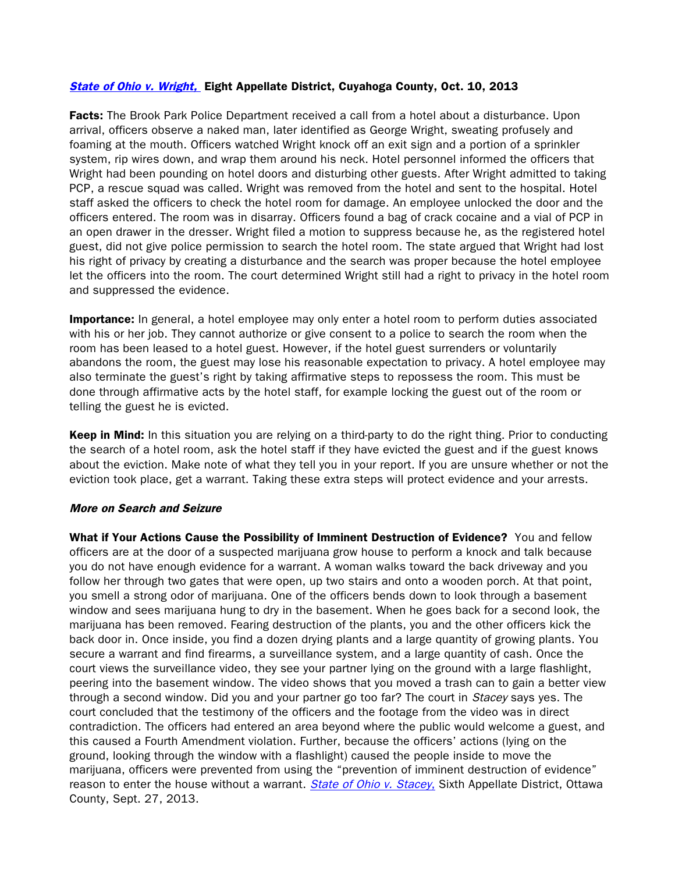#### [State of Ohio v. Wright,](http://www.sconet.state.oh.us/rod/docs/pdf/8/2013/2013-ohio-4473.pdf) Eight Appellate District, Cuyahoga County, Oct. 10, 2013

Facts: The Brook Park Police Department received a call from a hotel about a disturbance. Upon arrival, officers observe a naked man, later identified as George Wright, sweating profusely and foaming at the mouth. Officers watched Wright knock off an exit sign and a portion of a sprinkler system, rip wires down, and wrap them around his neck. Hotel personnel informed the officers that Wright had been pounding on hotel doors and disturbing other guests. After Wright admitted to taking PCP, a rescue squad was called. Wright was removed from the hotel and sent to the hospital. Hotel staff asked the officers to check the hotel room for damage. An employee unlocked the door and the officers entered. The room was in disarray. Officers found a bag of crack cocaine and a vial of PCP in an open drawer in the dresser. Wright filed a motion to suppress because he, as the registered hotel guest, did not give police permission to search the hotel room. The state argued that Wright had lost his right of privacy by creating a disturbance and the search was proper because the hotel employee let the officers into the room. The court determined Wright still had a right to privacy in the hotel room and suppressed the evidence.

**Importance:** In general, a hotel employee may only enter a hotel room to perform duties associated with his or her job. They cannot authorize or give consent to a police to search the room when the room has been leased to a hotel guest. However, if the hotel guest surrenders or voluntarily abandons the room, the guest may lose his reasonable expectation to privacy. A hotel employee may also terminate the guest's right by taking affirmative steps to repossess the room. This must be done through affirmative acts by the hotel staff, for example locking the guest out of the room or telling the guest he is evicted.

Keep in Mind: In this situation you are relying on a third-party to do the right thing. Prior to conducting the search of a hotel room, ask the hotel staff if they have evicted the guest and if the guest knows about the eviction. Make note of what they tell you in your report. If you are unsure whether or not the eviction took place, get a warrant. Taking these extra steps will protect evidence and your arrests.

#### More on Search and Seizure

What if Your Actions Cause the Possibility of Imminent Destruction of Evidence? You and fellow officers are at the door of a suspected marijuana grow house to perform a knock and talk because you do not have enough evidence for a warrant. A woman walks toward the back driveway and you follow her through two gates that were open, up two stairs and onto a wooden porch. At that point, you smell a strong odor of marijuana. One of the officers bends down to look through a basement window and sees marijuana hung to dry in the basement. When he goes back for a second look, the marijuana has been removed. Fearing destruction of the plants, you and the other officers kick the back door in. Once inside, you find a dozen drying plants and a large quantity of growing plants. You secure a warrant and find firearms, a surveillance system, and a large quantity of cash. Once the court views the surveillance video, they see your partner lying on the ground with a large flashlight, peering into the basement window. The video shows that you moved a trash can to gain a better view through a second window. Did you and your partner go too far? The court in Stacey says yes. The court concluded that the testimony of the officers and the footage from the video was in direct contradiction. The officers had entered an area beyond where the public would welcome a guest, and this caused a Fourth Amendment violation. Further, because the officers' actions (lying on the ground, looking through the window with a flashlight) caused the people inside to move the marijuana, officers were prevented from using the "prevention of imminent destruction of evidence" reason to enter the house without a warrant. *[State of Ohio v. Stacey](http://www.sconet.state.oh.us/rod/docs/pdf/6/2013/2013-ohio-4422.pdf)*, Sixth Appellate District, Ottawa County, Sept. 27, 2013.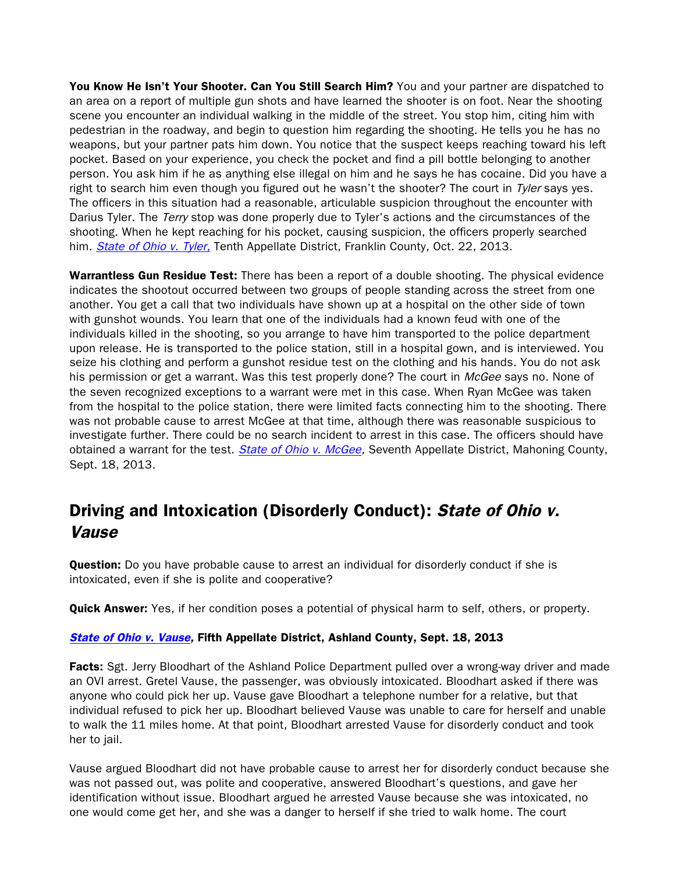You Know He Isn't Your Shooter. Can You Still Search Him? You and your partner are dispatched to an area on a report of multiple gun shots and have learned the shooter is on foot. Near the shooting scene you encounter an individual walking in the middle of the street. You stop him, citing him with pedestrian in the roadway, and begin to question him regarding the shooting. He tells you he has no weapons, but your partner pats him down. You notice that the suspect keeps reaching toward his left pocket. Based on your experience, you check the pocket and find a pill bottle belonging to another person. You ask him if he as anything else illegal on him and he says he has cocaine. Did you have a right to search him even though you figured out he wasn't the shooter? The court in  $\mathit{Ty}$ ler says yes. The officers in this situation had a reasonable, articulable suspicion throughout the encounter with Darius Tyler. The Terry stop was done properly due to Tyler's actions and the circumstances of the shooting. When he kept reaching for his pocket, causing suspicion, the officers properly searched him. [State of Ohio v. Tyler,](http://www.sconet.state.oh.us/rod/docs/pdf/10/2013/2013-ohio-4673.pdf) Tenth Appellate District, Franklin County, Oct. 22, 2013.

**Warrantless Gun Residue Test:** There has been a report of a double shooting. The physical evidence indicates the shootout occurred between two groups of people standing across the street from one another. You get a call that two individuals have shown up at a hospital on the other side of town with gunshot wounds. You learn that one of the individuals had a known feud with one of the individuals killed in the shooting, so you arrange to have him transported to the police department upon release. He is transported to the police station, still in a hospital gown, and is interviewed. You seize his clothing and perform a gunshot residue test on the clothing and his hands. You do not ask his permission or get a warrant. Was this test properly done? The court in McGee says no. None of the seven recognized exceptions to a warrant were met in this case. When Ryan McGee was taken from the hospital to the police station, there were limited facts connecting him to the shooting. There was not probable cause to arrest McGee at that time, although there was reasonable suspicious to investigate further. There could be no search incident to arrest in this case. The officers should have obtained a warrant for the test. *State of Ohio v. McGee*, Seventh Appellate District, Mahoning County, Sept. 18, 2013.

## Driving and Intoxication (Disorderly Conduct): State of Ohio v. Vause

**Question:** Do you have probable cause to arrest an individual for disorderly conduct if she is intoxicated, even if she is polite and cooperative?

**Quick Answer:** Yes, if her condition poses a potential of physical harm to self, others, or property.

## [State of Ohio v. Vause,](http://www.sconet.state.oh.us/rod/docs/pdf/5/2013/2013-ohio-4351.pdf) Fifth Appellate District, Ashland County, Sept. 18, 2013

Facts: Sgt. Jerry Bloodhart of the Ashland Police Department pulled over a wrong-way driver and made an OVI arrest. Gretel Vause, the passenger, was obviously intoxicated. Bloodhart asked if there was anyone who could pick her up. Vause gave Bloodhart a telephone number for a relative, but that individual refused to pick her up. Bloodhart believed Vause was unable to care for herself and unable to walk the 11 miles home. At that point, Bloodhart arrested Vause for disorderly conduct and took her to jail.

Vause argued Bloodhart did not have probable cause to arrest her for disorderly conduct because she was not passed out, was polite and cooperative, answered Bloodhart's questions, and gave her identification without issue. Bloodhart argued he arrested Vause because she was intoxicated, no one would come get her, and she was a danger to herself if she tried to walk home. The court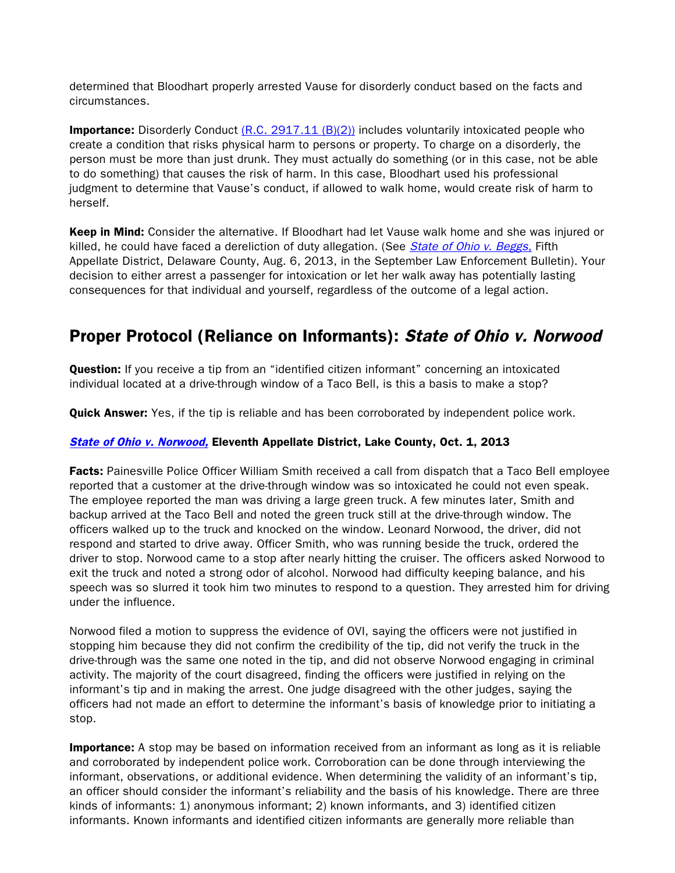determined that Bloodhart properly arrested Vause for disorderly conduct based on the facts and circumstances.

**Importance:** Disorderly Conduct  $(R.C. 2917.11 (B)(2))$  includes voluntarily intoxicated people who create a condition that risks physical harm to persons or property. To charge on a disorderly, the person must be more than just drunk. They must actually do something (or in this case, not be able to do something) that causes the risk of harm. In this case, Bloodhart used his professional judgment to determine that Vause's conduct, if allowed to walk home, would create risk of harm to herself.

Keep in Mind: Consider the alternative. If Bloodhart had let Vause walk home and she was injured or killed, he could have faced a dereliction of duty allegation. (See *[State of Ohio v. Beggs](http://www.sconet.state.oh.us/rod/docs/pdf/5/2013/2013-ohio-3440.pdf)*, Fifth Appellate District, Delaware County, Aug. 6, 2013, in the September Law Enforcement Bulletin). Your decision to either arrest a passenger for intoxication or let her walk away has potentially lasting consequences for that individual and yourself, regardless of the outcome of a legal action.

## Proper Protocol (Reliance on Informants): State of Ohio v. Norwood

**Question:** If you receive a tip from an "identified citizen informant" concerning an intoxicated individual located at a drive-through window of a Taco Bell, is this a basis to make a stop?

**Quick Answer:** Yes, if the tip is reliable and has been corroborated by independent police work.

### **[State of Ohio v. Norwood,](http://www.sconet.state.oh.us/rod/docs/pdf/11/2013/2013-ohio-4293.pdf) Eleventh Appellate District, Lake County, Oct. 1, 2013**

**Facts:** Painesville Police Officer William Smith received a call from dispatch that a Taco Bell employee reported that a customer at the drive-through window was so intoxicated he could not even speak. The employee reported the man was driving a large green truck. A few minutes later, Smith and backup arrived at the Taco Bell and noted the green truck still at the drive-through window. The officers walked up to the truck and knocked on the window. Leonard Norwood, the driver, did not respond and started to drive away. Officer Smith, who was running beside the truck, ordered the driver to stop. Norwood came to a stop after nearly hitting the cruiser. The officers asked Norwood to exit the truck and noted a strong odor of alcohol. Norwood had difficulty keeping balance, and his speech was so slurred it took him two minutes to respond to a question. They arrested him for driving under the influence.

Norwood filed a motion to suppress the evidence of OVI, saying the officers were not justified in stopping him because they did not confirm the credibility of the tip, did not verify the truck in the drive-through was the same one noted in the tip, and did not observe Norwood engaging in criminal activity. The majority of the court disagreed, finding the officers were justified in relying on the informant's tip and in making the arrest. One judge disagreed with the other judges, saying the officers had not made an effort to determine the informant's basis of knowledge prior to initiating a stop.

**Importance:** A stop may be based on information received from an informant as long as it is reliable and corroborated by independent police work. Corroboration can be done through interviewing the informant, observations, or additional evidence. When determining the validity of an informant's tip, an officer should consider the informant's reliability and the basis of his knowledge. There are three kinds of informants: 1) anonymous informant; 2) known informants, and 3) identified citizen informants. Known informants and identified citizen informants are generally more reliable than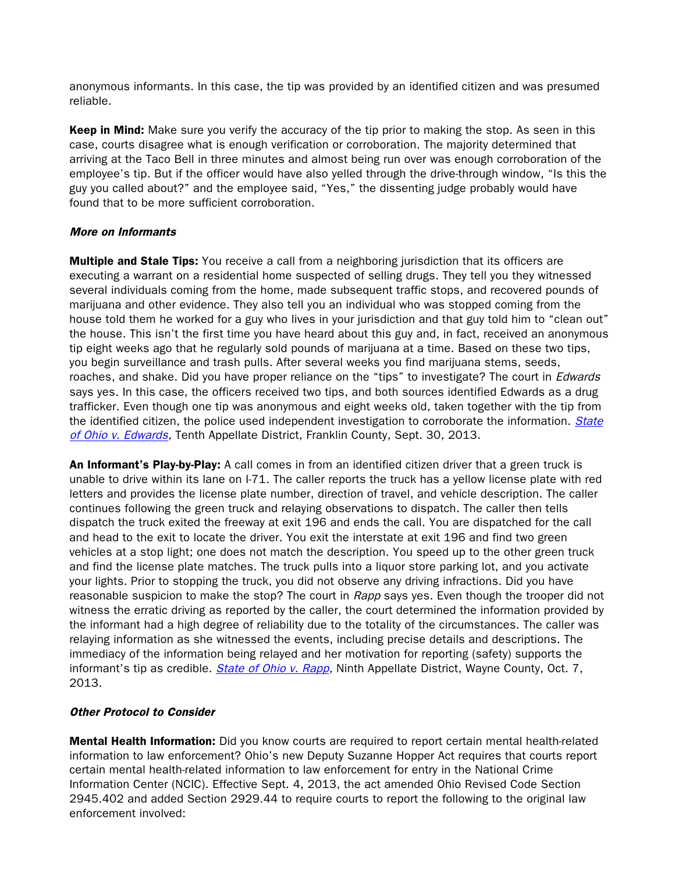anonymous informants. In this case, the tip was provided by an identified citizen and was presumed reliable.

Keep in Mind: Make sure you verify the accuracy of the tip prior to making the stop. As seen in this case, courts disagree what is enough verification or corroboration. The majority determined that arriving at the Taco Bell in three minutes and almost being run over was enough corroboration of the employee's tip. But if the officer would have also yelled through the drive-through window, "Is this the guy you called about?" and the employee said, "Yes," the dissenting judge probably would have found that to be more sufficient corroboration.

#### More on Informants

**Multiple and Stale Tips:** You receive a call from a neighboring jurisdiction that its officers are executing a warrant on a residential home suspected of selling drugs. They tell you they witnessed several individuals coming from the home, made subsequent traffic stops, and recovered pounds of marijuana and other evidence. They also tell you an individual who was stopped coming from the house told them he worked for a guy who lives in your jurisdiction and that guy told him to "clean out" the house. This isn't the first time you have heard about this guy and, in fact, received an anonymous tip eight weeks ago that he regularly sold pounds of marijuana at a time. Based on these two tips, you begin surveillance and trash pulls. After several weeks you find marijuana stems, seeds, roaches, and shake. Did you have proper reliance on the "tips" to investigate? The court in *Edwards* says yes. In this case, the officers received two tips, and both sources identified Edwards as a drug trafficker. Even though one tip was anonymous and eight weeks old, taken together with the tip from the identified citizen, the police used independent investigation to corroborate the information. State [of Ohio v. Edwards,](http://www.sconet.state.oh.us/rod/docs/pdf/10/2013/2013-ohio-4342.pdf) Tenth Appellate District, Franklin County, Sept. 30, 2013.

An Informant's Play-by-Play: A call comes in from an identified citizen driver that a green truck is unable to drive within its lane on I-71. The caller reports the truck has a yellow license plate with red letters and provides the license plate number, direction of travel, and vehicle description. The caller continues following the green truck and relaying observations to dispatch. The caller then tells dispatch the truck exited the freeway at exit 196 and ends the call. You are dispatched for the call and head to the exit to locate the driver. You exit the interstate at exit 196 and find two green vehicles at a stop light; one does not match the description. You speed up to the other green truck and find the license plate matches. The truck pulls into a liquor store parking lot, and you activate your lights. Prior to stopping the truck, you did not observe any driving infractions. Did you have reasonable suspicion to make the stop? The court in Rapp says yes. Even though the trooper did not witness the erratic driving as reported by the caller, the court determined the information provided by the informant had a high degree of reliability due to the totality of the circumstances. The caller was relaying information as she witnessed the events, including precise details and descriptions. The immediacy of the information being relayed and her motivation for reporting (safety) supports the informant's tip as credible. *State of Ohio v. Rapp*, Ninth Appellate District, Wayne County, Oct. 7, 2013.

## Other Protocol to Consider

**Mental Health Information:** Did you know courts are required to report certain mental health-related information to law enforcement? Ohio's new Deputy Suzanne Hopper Act requires that courts report certain mental health-related information to law enforcement for entry in the National Crime Information Center (NCIC). Effective Sept. 4, 2013, the act amended Ohio Revised Code Section 2945.402 and added Section 2929.44 to require courts to report the following to the original law enforcement involved: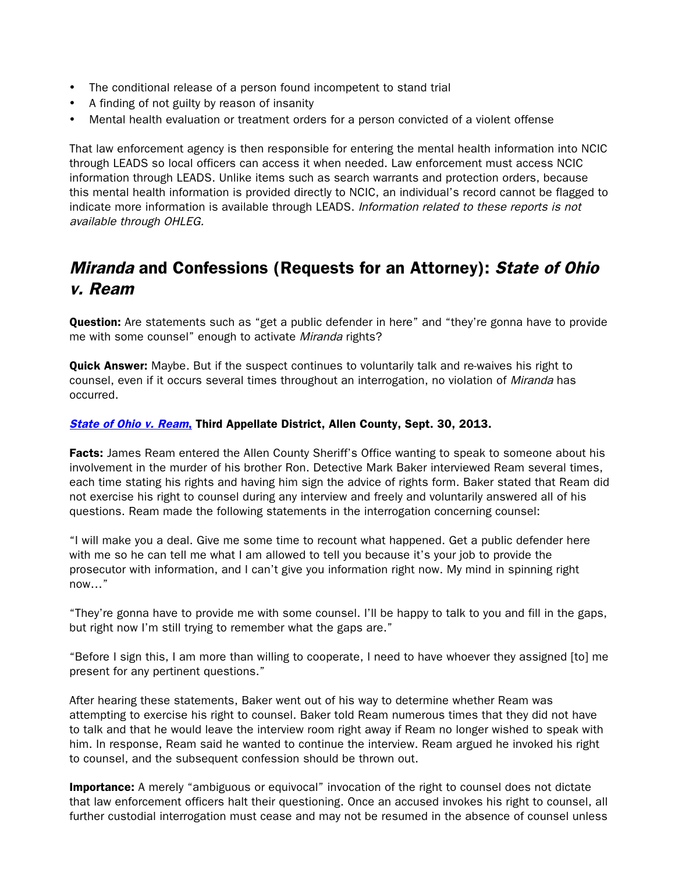- The conditional release of a person found incompetent to stand trial
- A finding of not guilty by reason of insanity
- Mental health evaluation or treatment orders for a person convicted of a violent offense

That law enforcement agency is then responsible for entering the mental health information into NCIC through LEADS so local officers can access it when needed. Law enforcement must access NCIC information through LEADS. Unlike items such as search warrants and protection orders, because this mental health information is provided directly to NCIC, an individual's record cannot be flagged to indicate more information is available through LEADS. Information related to these reports is not available through OHLEG.

## Miranda and Confessions (Requests for an Attorney): State of Ohio v. Ream

**Question:** Are statements such as "get a public defender in here" and "they're gonna have to provide me with some counsel" enough to activate Miranda rights?

**Quick Answer:** Maybe. But if the suspect continues to voluntarily talk and re-waives his right to counsel, even if it occurs several times throughout an interrogation, no violation of Miranda has occurred.

#### [State of Ohio v. Ream](http://www.sconet.state.oh.us/rod/docs/pdf/3/2013/2013-ohio-4319.pdf), Third Appellate District, Allen County, Sept. 30, 2013.

**Facts:** James Ream entered the Allen County Sheriff's Office wanting to speak to someone about his involvement in the murder of his brother Ron. Detective Mark Baker interviewed Ream several times, each time stating his rights and having him sign the advice of rights form. Baker stated that Ream did not exercise his right to counsel during any interview and freely and voluntarily answered all of his questions. Ream made the following statements in the interrogation concerning counsel:

"I will make you a deal. Give me some time to recount what happened. Get a public defender here with me so he can tell me what I am allowed to tell you because it's your job to provide the prosecutor with information, and I can't give you information right now. My mind in spinning right now…"

"They're gonna have to provide me with some counsel. I'll be happy to talk to you and fill in the gaps, but right now I'm still trying to remember what the gaps are."

"Before I sign this, I am more than willing to cooperate, I need to have whoever they assigned [to] me present for any pertinent questions."

After hearing these statements, Baker went out of his way to determine whether Ream was attempting to exercise his right to counsel. Baker told Ream numerous times that they did not have to talk and that he would leave the interview room right away if Ream no longer wished to speak with him. In response, Ream said he wanted to continue the interview. Ream argued he invoked his right to counsel, and the subsequent confession should be thrown out.

**Importance:** A merely "ambiguous or equivocal" invocation of the right to counsel does not dictate that law enforcement officers halt their questioning. Once an accused invokes his right to counsel, all further custodial interrogation must cease and may not be resumed in the absence of counsel unless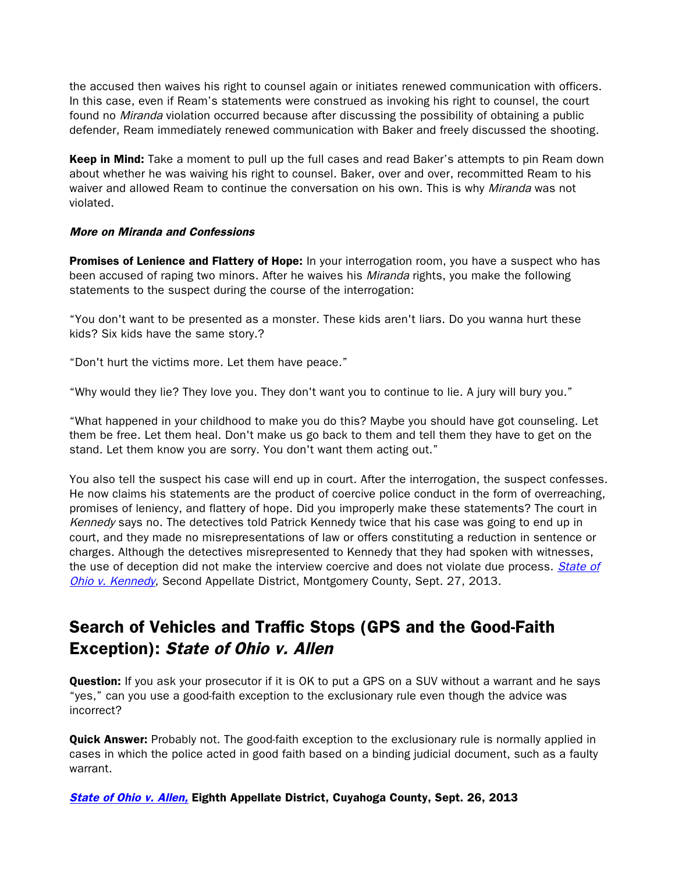the accused then waives his right to counsel again or initiates renewed communication with officers. In this case, even if Ream's statements were construed as invoking his right to counsel, the court found no Miranda violation occurred because after discussing the possibility of obtaining a public defender, Ream immediately renewed communication with Baker and freely discussed the shooting.

Keep in Mind: Take a moment to pull up the full cases and read Baker's attempts to pin Ream down about whether he was waiving his right to counsel. Baker, over and over, recommitted Ream to his waiver and allowed Ream to continue the conversation on his own. This is why Miranda was not violated.

#### More on Miranda and Confessions

Promises of Lenience and Flattery of Hope: In your interrogation room, you have a suspect who has been accused of raping two minors. After he waives his *Miranda* rights, you make the following statements to the suspect during the course of the interrogation:

"You don't want to be presented as a monster. These kids aren't liars. Do you wanna hurt these kids? Six kids have the same story.?

"Don't hurt the victims more. Let them have peace."

"Why would they lie? They love you. They don't want you to continue to lie. A jury will bury you."

"What happened in your childhood to make you do this? Maybe you should have got counseling. Let them be free. Let them heal. Don't make us go back to them and tell them they have to get on the stand. Let them know you are sorry. You don't want them acting out."

You also tell the suspect his case will end up in court. After the interrogation, the suspect confesses. He now claims his statements are the product of coercive police conduct in the form of overreaching, promises of leniency, and flattery of hope. Did you improperly make these statements? The court in Kennedy says no. The detectives told Patrick Kennedy twice that his case was going to end up in court, and they made no misrepresentations of law or offers constituting a reduction in sentence or charges. Although the detectives misrepresented to Kennedy that they had spoken with witnesses, the use of deception did not make the interview coercive and does not violate due process. State of [Ohio v. Kennedy](http://www.sconet.state.oh.us/rod/docs/pdf/2/2013/2013-ohio-4243.pdf), Second Appellate District, Montgomery County, Sept. 27, 2013.

## Search of Vehicles and Traffic Stops (GPS and the Good-Faith Exception): State of Ohio v. Allen

**Question:** If you ask your prosecutor if it is OK to put a GPS on a SUV without a warrant and he says "yes," can you use a good-faith exception to the exclusionary rule even though the advice was incorrect?

Quick Answer: Probably not. The good-faith exception to the exclusionary rule is normally applied in cases in which the police acted in good faith based on a binding judicial document, such as a faulty warrant.

[State of Ohio v. Allen,](http://www.sconet.state.oh.us/rod/docs/pdf/8/2013/2013-ohio-4188.pdf) Eighth Appellate District, Cuyahoga County, Sept. 26, 2013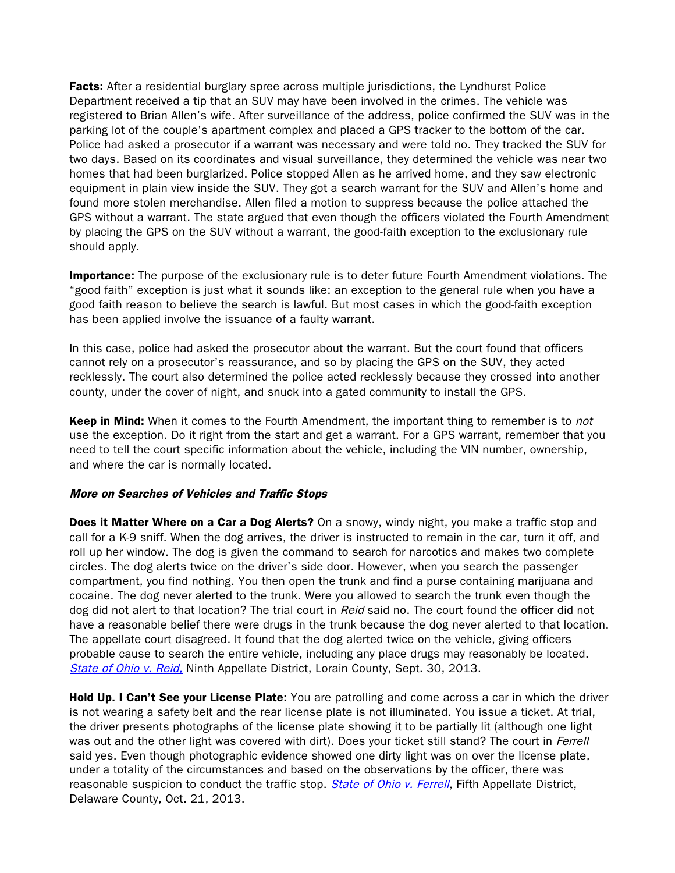**Facts:** After a residential burglary spree across multiple jurisdictions, the Lyndhurst Police Department received a tip that an SUV may have been involved in the crimes. The vehicle was registered to Brian Allen's wife. After surveillance of the address, police confirmed the SUV was in the parking lot of the couple's apartment complex and placed a GPS tracker to the bottom of the car. Police had asked a prosecutor if a warrant was necessary and were told no. They tracked the SUV for two days. Based on its coordinates and visual surveillance, they determined the vehicle was near two homes that had been burglarized. Police stopped Allen as he arrived home, and they saw electronic equipment in plain view inside the SUV. They got a search warrant for the SUV and Allen's home and found more stolen merchandise. Allen filed a motion to suppress because the police attached the GPS without a warrant. The state argued that even though the officers violated the Fourth Amendment by placing the GPS on the SUV without a warrant, the good-faith exception to the exclusionary rule should apply.

**Importance:** The purpose of the exclusionary rule is to deter future Fourth Amendment violations. The "good faith" exception is just what it sounds like: an exception to the general rule when you have a good faith reason to believe the search is lawful. But most cases in which the good-faith exception has been applied involve the issuance of a faulty warrant.

In this case, police had asked the prosecutor about the warrant. But the court found that officers cannot rely on a prosecutor's reassurance, and so by placing the GPS on the SUV, they acted recklessly. The court also determined the police acted recklessly because they crossed into another county, under the cover of night, and snuck into a gated community to install the GPS.

**Keep in Mind:** When it comes to the Fourth Amendment, the important thing to remember is to not use the exception. Do it right from the start and get a warrant. For a GPS warrant, remember that you need to tell the court specific information about the vehicle, including the VIN number, ownership, and where the car is normally located.

#### More on Searches of Vehicles and Traffic Stops

**Does it Matter Where on a Car a Dog Alerts?** On a snowy, windy night, you make a traffic stop and call for a K-9 sniff. When the dog arrives, the driver is instructed to remain in the car, turn it off, and roll up her window. The dog is given the command to search for narcotics and makes two complete circles. The dog alerts twice on the driver's side door. However, when you search the passenger compartment, you find nothing. You then open the trunk and find a purse containing marijuana and cocaine. The dog never alerted to the trunk. Were you allowed to search the trunk even though the dog did not alert to that location? The trial court in Reid said no. The court found the officer did not have a reasonable belief there were drugs in the trunk because the dog never alerted to that location. The appellate court disagreed. It found that the dog alerted twice on the vehicle, giving officers probable cause to search the entire vehicle, including any place drugs may reasonably be located. [State of Ohio v. Reid,](http://www.sconet.state.oh.us/rod/docs/pdf/9/2013/2013-ohio-4274.pdf) Ninth Appellate District, Lorain County, Sept. 30, 2013.

Hold Up. I Can't See your License Plate: You are patrolling and come across a car in which the driver is not wearing a safety belt and the rear license plate is not illuminated. You issue a ticket. At trial, the driver presents photographs of the license plate showing it to be partially lit (although one light was out and the other light was covered with dirt). Does your ticket still stand? The court in *Ferrell* said yes. Even though photographic evidence showed one dirty light was on over the license plate, under a totality of the circumstances and based on the observations by the officer, there was reasonable suspicion to conduct the traffic stop. *[State of Ohio v. Ferrell](http://www.sconet.state.oh.us/rod/docs/pdf/5/2013/2013-ohio-4651.pdf)*, Fifth Appellate District, Delaware County, Oct. 21, 2013.